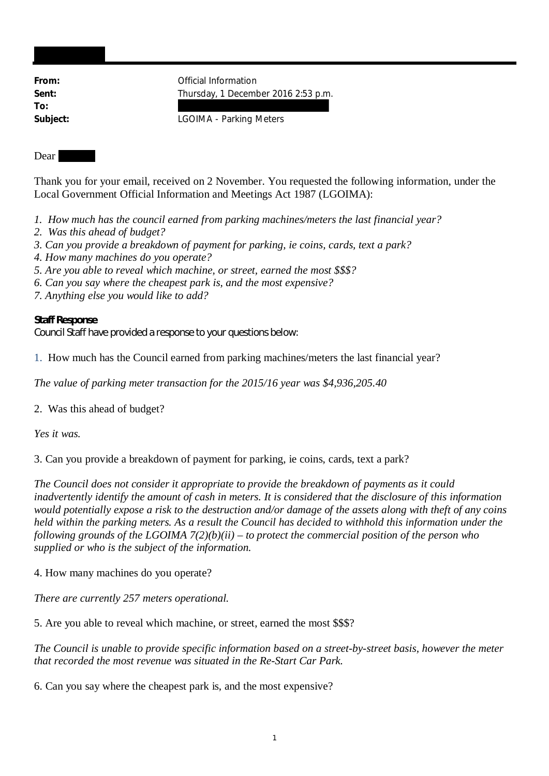**To:**

From: **From:** Official Information Sent: Sent: Thursday, 1 December 2016 2:53 p.m.

**Subject:** LGOIMA - Parking Meters

## Dear

Thank you for your email, received on 2 November. You requested the following information, under the Local Government Official Information and Meetings Act 1987 (LGOIMA):

- *1. How much has the council earned from parking machines/meters the last financial year?*
- *2. Was this ahead of budget?*
- *3. Can you provide a breakdown of payment for parking, ie coins, cards, text a park?*
- *4. How many machines do you operate?*
- *5. Are you able to reveal which machine, or street, earned the most \$\$\$?*
- *6. Can you say where the cheapest park is, and the most expensive?*
- *7. Anything else you would like to add?*

**Staff Response** Council Staff have provided a response to your questions below:

1. How much has the Council earned from parking machines/meters the last financial year?

*The value of parking meter transaction for the 2015/16 year was \$4,936,205.40*

2. Was this ahead of budget?

*Yes it was.*

3. Can you provide a breakdown of payment for parking, ie coins, cards, text a park?

*The Council does not consider it appropriate to provide the breakdown of payments as it could inadvertently identify the amount of cash in meters. It is considered that the disclosure of this information would potentially expose a risk to the destruction and/or damage of the assets along with theft of any coins held within the parking meters. As a result the Council has decided to withhold this information under the following grounds of the LGOIMA 7(2)(b)(ii) – to protect the commercial position of the person who supplied or who is the subject of the information.*

4. How many machines do you operate?

*There are currently 257 meters operational.*

5. Are you able to reveal which machine, or street, earned the most \$\$\$?

*The Council is unable to provide specific information based on a street-by-street basis, however the meter that recorded the most revenue was situated in the Re-Start Car Park.*

6. Can you say where the cheapest park is, and the most expensive?